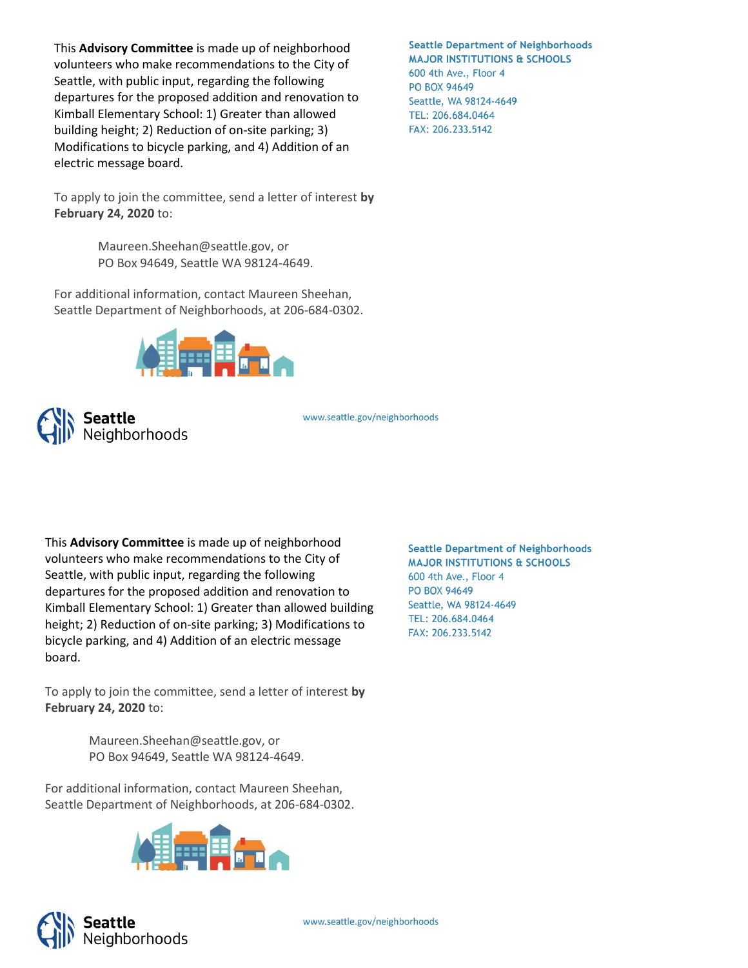This **Advisory Committee** is made up of neighborhood volunteers who make recommendations to the City of Seattle, with public input, regarding the following departures for the proposed addition and renovation to Kimball Elementary School: 1) Greater than allowed building height; 2) Reduction of on-site parking; 3) Modifications to bicycle parking, and 4) Addition of an electric message board.

To apply to join the committee, send a letter of interest **by February 24, 2020** to:

> Maureen.Sheehan@seattle.gov, or PO Box 94649, Seattle WA 98124-4649.

For additional information, contact Maureen Sheehan, Seattle Department of Neighborhoods, at 206-684-0302.





www.seattle.gov/neighborhoods

This **Advisory Committee** is made up of neighborhood volunteers who make recommendations to the City of Seattle, with public input, regarding the following departures for the proposed addition and renovation to Kimball Elementary School: 1) Greater than allowed building height; 2) Reduction of on-site parking; 3) Modifications to bicycle parking, and 4) Addition of an electric message board.

To apply to join the committee, send a letter of interest **by February 24, 2020** to:

> Maureen.Sheehan@seattle.gov, or PO Box 94649, Seattle WA 98124-4649.

For additional information, contact Maureen Sheehan, Seattle Department of Neighborhoods, at 206-684-0302.





**Seattle Department of Neighborhoods MAJOR INSTITUTIONS & SCHOOLS** 600 4th Ave., Floor 4 PO BOX 94649 Seattle, WA 98124-4649 TEL: 206.684.0464 FAX: 206.233.5142

**Seattle Department of Neighborhoods MAJOR INSTITUTIONS & SCHOOLS** 600 4th Ave., Floor 4 PO BOX 94649 Seattle, WA 98124-4649 TEL: 206.684.0464 FAX: 206.233.5142